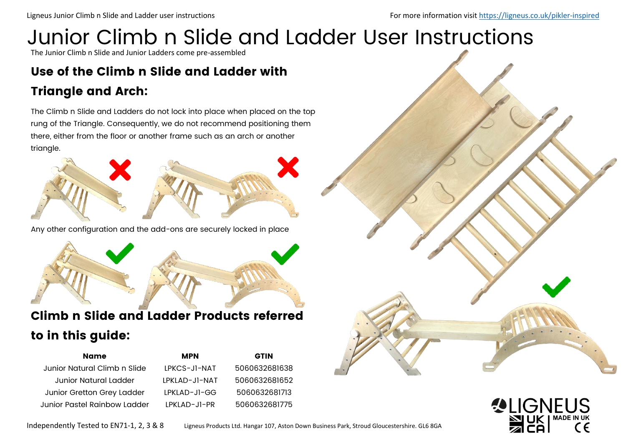# Junior Climb n Slide and Ladder User Instructions

The Junior Climb n Slide and Junior Ladders come pre-assembled

## Use of the Climb n Slide and Ladder with

#### Triangle and Arch:

The Climb n Slide and Ladders do not lock into place when placed on the top rung of the Triangle. Consequently, we do not recommend positioning them there, either from the floor or another frame such as an arch or another triangle.



Any other configuration and the add-ons are securely locked in place



### Climb n Slide and Ladder Products referred to in this guide:

| <b>Name</b>                  | <b>MPN</b>      | <b>GTIN</b>   |
|------------------------------|-----------------|---------------|
| Junior Natural Climb n Slide | IPKCS-JI-NAT    | 5060632681638 |
| Junior Natural Ladder        | I PKI AD-JI-NAT | 5060632681652 |
| Junior Gretton Grey Ladder   | LPKLAD-JI-GG    | 5060632681713 |
| Junior Pastel Rainbow Ladder | LPKLAD-JI-PR    | 5060632681775 |